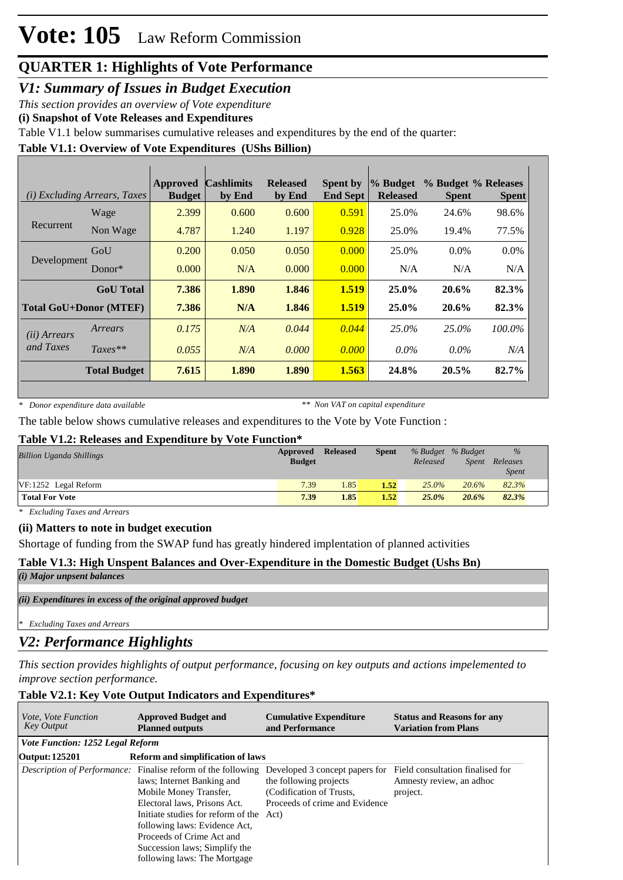*V1: Summary of Issues in Budget Execution*

*This section provides an overview of Vote expenditure* 

**(i) Snapshot of Vote Releases and Expenditures**

Table V1.1 below summarises cumulative releases and expenditures by the end of the quarter:

### **Table V1.1: Overview of Vote Expenditures (UShs Billion)**

| ( <i>i</i> ) Excluding Arrears, Taxes |                     | <b>Approved</b><br><b>Budget</b> | <b>Cashlimits</b><br>by End | <b>Released</b><br>by End | <b>Spent by</b><br><b>End Sept</b> | % Budget<br><b>Released</b> | % Budget % Releases<br><b>Spent</b> | <b>Spent</b> |
|---------------------------------------|---------------------|----------------------------------|-----------------------------|---------------------------|------------------------------------|-----------------------------|-------------------------------------|--------------|
|                                       | Wage                | 2.399                            | 0.600                       | 0.600                     | 0.591                              | 25.0%                       | 24.6%                               | 98.6%        |
| Recurrent                             | Non Wage            | 4.787                            | 1.240                       | 1.197                     | 0.928                              | 25.0%                       | 19.4%                               | 77.5%        |
| Development                           | GoU                 | 0.200                            | 0.050                       | 0.050                     | 0.000                              | 25.0%                       | $0.0\%$                             | 0.0%         |
|                                       | Donor $*$           | 0.000                            | N/A                         | 0.000                     | 0.000                              | N/A                         | N/A                                 | N/A          |
|                                       | <b>GoU</b> Total    | 7.386                            | 1.890                       | 1.846                     | 1.519                              | $25.0\%$                    | 20.6%                               | 82.3%        |
| <b>Total GoU+Donor (MTEF)</b>         |                     | 7.386                            | N/A                         | 1.846                     | 1.519                              | 25.0%                       | 20.6%                               | 82.3%        |
| (ii) Arrears                          | Arrears             | 0.175                            | N/A                         | 0.044                     | 0.044                              | $25.0\%$                    | 25.0%                               | 100.0%       |
| and Taxes                             | $Taxes**$           | 0.055                            | N/A                         | 0.000                     | 0.000                              | $0.0\%$                     | $0.0\%$                             | N/A          |
|                                       | <b>Total Budget</b> | 7.615                            | 1.890                       | 1.890                     | 1.563                              | 24.8%                       | $20.5\%$                            | 82.7%        |

*\* Donor expenditure data available*

*\*\* Non VAT on capital expenditure*

The table below shows cumulative releases and expenditures to the Vote by Vote Function :

#### **Table V1.2: Releases and Expenditure by Vote Function\***

| <b>Billion Uganda Shillings</b> | Approved<br><b>Budget</b> | <b>Released</b> | <b>Spent</b> | % Budget % Budget<br>Released | Spent | $\%$<br>Releases<br><i>Spent</i> |
|---------------------------------|---------------------------|-----------------|--------------|-------------------------------|-------|----------------------------------|
| $VF: 1252$ Legal Reform         | 7.39                      | 1.85            | 1.52         | $25.0\%$                      | 20.6% | 82.3%                            |
| <b>Total For Vote</b>           | 7.39                      | 1.85            | 1.52         | 25.0%                         | 20.6% | 82.3%                            |

*\* Excluding Taxes and Arrears*

#### **(ii) Matters to note in budget execution**

Shortage of funding from the SWAP fund has greatly hindered implentation of planned activities

### **Table V1.3: High Unspent Balances and Over-Expenditure in the Domestic Budget (Ushs Bn)**

*(i) Major unpsent balances*

*(ii) Expenditures in excess of the original approved budget*

*\* Excluding Taxes and Arrears*

### *V2: Performance Highlights*

*This section provides highlights of output performance, focusing on key outputs and actions impelemented to improve section performance.*

### **Table V2.1: Key Vote Output Indicators and Expenditures\***

| <i>Vote, Vote Function</i><br><b>Key Output</b> | <b>Approved Budget and</b><br><b>Planned outputs</b>                                                                                                                                                                                                                                                                                  | <b>Cumulative Expenditure</b><br>and Performance                                                                       | <b>Status and Reasons for any</b><br><b>Variation from Plans</b>         |
|-------------------------------------------------|---------------------------------------------------------------------------------------------------------------------------------------------------------------------------------------------------------------------------------------------------------------------------------------------------------------------------------------|------------------------------------------------------------------------------------------------------------------------|--------------------------------------------------------------------------|
| <i>Vote Function: 1252 Legal Reform</i>         |                                                                                                                                                                                                                                                                                                                                       |                                                                                                                        |                                                                          |
| <b>Output: 125201</b>                           | <b>Reform and simplification of laws</b>                                                                                                                                                                                                                                                                                              |                                                                                                                        |                                                                          |
|                                                 | <i>Description of Performance:</i> Finalise reform of the following<br>laws; Internet Banking and<br>Mobile Money Transfer,<br>Electoral laws, Prisons Act.<br>Initiate studies for reform of the Act)<br>following laws: Evidence Act,<br>Proceeds of Crime Act and<br>Succession laws; Simplify the<br>following laws: The Mortgage | Developed 3 concept papers for<br>the following projects<br>(Codification of Trusts,<br>Proceeds of crime and Evidence | Field consultation finalised for<br>Amnesty review, an adhoc<br>project. |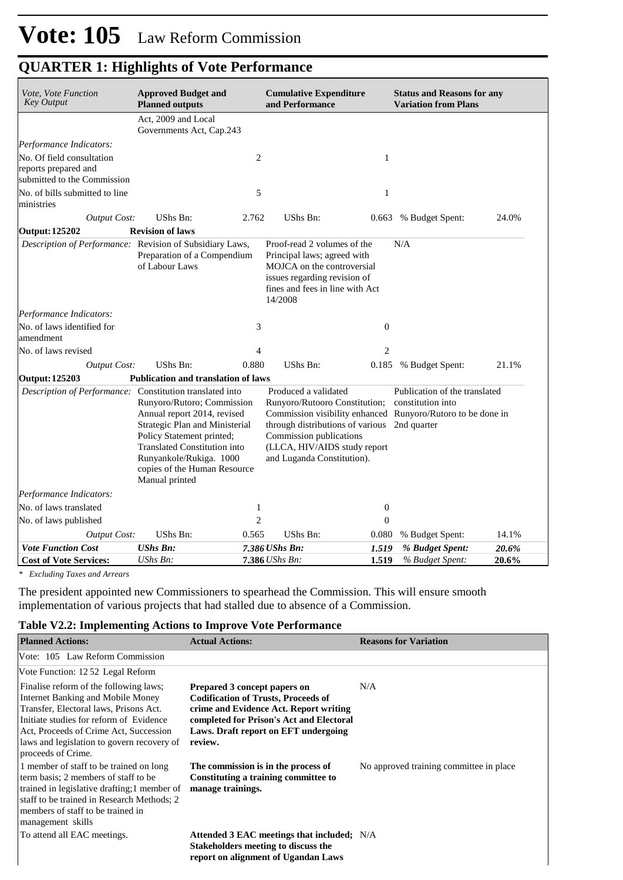| Vote, Vote Function<br><b>Key Output</b>                 | <b>Approved Budget and</b><br><b>Planned outputs</b>                                                                                                                                                                                  |                | <b>Cumulative Expenditure</b><br>and Performance                                                                                                                                               |                  | <b>Status and Reasons for any</b><br><b>Variation from Plans</b>                                                  |       |  |  |
|----------------------------------------------------------|---------------------------------------------------------------------------------------------------------------------------------------------------------------------------------------------------------------------------------------|----------------|------------------------------------------------------------------------------------------------------------------------------------------------------------------------------------------------|------------------|-------------------------------------------------------------------------------------------------------------------|-------|--|--|
|                                                          | Act, 2009 and Local<br>Governments Act, Cap.243                                                                                                                                                                                       |                |                                                                                                                                                                                                |                  |                                                                                                                   |       |  |  |
| Performance Indicators:                                  |                                                                                                                                                                                                                                       |                |                                                                                                                                                                                                |                  |                                                                                                                   |       |  |  |
| No. Of field consultation                                |                                                                                                                                                                                                                                       | $\overline{c}$ |                                                                                                                                                                                                | $\mathbf{1}$     |                                                                                                                   |       |  |  |
| reports prepared and                                     |                                                                                                                                                                                                                                       |                |                                                                                                                                                                                                |                  |                                                                                                                   |       |  |  |
| submitted to the Commission                              |                                                                                                                                                                                                                                       |                |                                                                                                                                                                                                |                  |                                                                                                                   |       |  |  |
| No. of bills submitted to line<br>ministries             |                                                                                                                                                                                                                                       | 5              |                                                                                                                                                                                                | $\mathbf{1}$     |                                                                                                                   |       |  |  |
| Output Cost:                                             | UShs Bn:                                                                                                                                                                                                                              | 2.762          | UShs Bn:                                                                                                                                                                                       | 0.663            | % Budget Spent:                                                                                                   | 24.0% |  |  |
| <b>Output: 125202</b>                                    | <b>Revision of laws</b>                                                                                                                                                                                                               |                |                                                                                                                                                                                                |                  |                                                                                                                   |       |  |  |
| Description of Performance: Revision of Subsidiary Laws, | Preparation of a Compendium<br>of Labour Laws                                                                                                                                                                                         |                | Proof-read 2 volumes of the<br>Principal laws; agreed with<br>MOJCA on the controversial<br>issues regarding revision of<br>fines and fees in line with Act<br>14/2008                         |                  | N/A                                                                                                               |       |  |  |
| Performance Indicators:                                  |                                                                                                                                                                                                                                       |                |                                                                                                                                                                                                |                  |                                                                                                                   |       |  |  |
| No. of laws identified for<br>amendment                  |                                                                                                                                                                                                                                       | 3              |                                                                                                                                                                                                | $\boldsymbol{0}$ |                                                                                                                   |       |  |  |
| No. of laws revised                                      |                                                                                                                                                                                                                                       | 4              |                                                                                                                                                                                                | $\overline{2}$   |                                                                                                                   |       |  |  |
| <b>Output Cost:</b>                                      | UShs Bn:                                                                                                                                                                                                                              | 0.880          | UShs Bn:                                                                                                                                                                                       | 0.185            | % Budget Spent:                                                                                                   | 21.1% |  |  |
| <b>Output: 125203</b>                                    | Publication and translation of laws                                                                                                                                                                                                   |                |                                                                                                                                                                                                |                  |                                                                                                                   |       |  |  |
| Description of Performance: Constitution translated into | Runyoro/Rutoro; Commission<br>Annual report 2014, revised<br>Strategic Plan and Ministerial<br>Policy Statement printed;<br>Translated Constitution into<br>Runyankole/Rukiga. 1000<br>copies of the Human Resource<br>Manual printed |                | Produced a validated<br>Runyoro/Rutooro Constitution;<br>through distributions of various 2nd quarter<br>Commission publications<br>(LLCA, HIV/AIDS study report<br>and Luganda Constitution). |                  | Publication of the translated<br>constitution into<br>Commission visibility enhanced Runyoro/Rutoro to be done in |       |  |  |
| Performance Indicators:                                  |                                                                                                                                                                                                                                       |                |                                                                                                                                                                                                |                  |                                                                                                                   |       |  |  |
| No. of laws translated                                   |                                                                                                                                                                                                                                       | 1              |                                                                                                                                                                                                | $\boldsymbol{0}$ |                                                                                                                   |       |  |  |
| No. of laws published                                    |                                                                                                                                                                                                                                       | $\overline{c}$ |                                                                                                                                                                                                | $\boldsymbol{0}$ |                                                                                                                   |       |  |  |
| <b>Output Cost:</b>                                      | UShs Bn:                                                                                                                                                                                                                              | 0.565          | UShs Bn:                                                                                                                                                                                       | 0.080            | % Budget Spent:                                                                                                   | 14.1% |  |  |
| <b>Vote Function Cost</b>                                | <b>UShs Bn:</b>                                                                                                                                                                                                                       |                | 7.386 UShs Bn:                                                                                                                                                                                 | 1.519            | % Budget Spent:                                                                                                   | 20.6% |  |  |
| <b>Cost of Vote Services:</b>                            | UShs Bn:                                                                                                                                                                                                                              |                | 7.386 UShs Bn:                                                                                                                                                                                 | 1.519            | % Budget Spent:                                                                                                   | 20.6% |  |  |

*\* Excluding Taxes and Arrears*

The president appointed new Commissioners to spearhead the Commission. This will ensure smooth implementation of various projects that had stalled due to absence of a Commission.

### **Table V2.2: Implementing Actions to Improve Vote Performance**

| <b>Planned Actions:</b>                                                                                                                                                                                                                                                        | <b>Actual Actions:</b>                                                                                                                                                                                              | <b>Reasons for Variation</b>             |
|--------------------------------------------------------------------------------------------------------------------------------------------------------------------------------------------------------------------------------------------------------------------------------|---------------------------------------------------------------------------------------------------------------------------------------------------------------------------------------------------------------------|------------------------------------------|
| Vote: 105 Law Reform Commission                                                                                                                                                                                                                                                |                                                                                                                                                                                                                     |                                          |
| Vote Function: 1252 Legal Reform                                                                                                                                                                                                                                               |                                                                                                                                                                                                                     |                                          |
| Finalise reform of the following laws;<br>Internet Banking and Mobile Money<br>Transfer, Electoral laws, Prisons Act.<br>Initiate studies for reform of Evidence<br>Act, Proceeds of Crime Act, Succession<br>laws and legislation to govern recovery of<br>proceeds of Crime. | Prepared 3 concept papers on<br><b>Codification of Trusts, Proceeds of</b><br>crime and Evidence Act. Report writing<br>completed for Prison's Act and Electoral<br>Laws. Draft report on EFT undergoing<br>review. | N/A                                      |
| 1 member of staff to be trained on long<br>term basis; 2 members of staff to be<br>trained in legislative drafting; 1 member of<br>staff to be trained in Research Methods; 2<br>members of staff to be trained in<br>management skills                                        | The commission is in the process of<br>Constituting a training committee to<br>manage trainings.                                                                                                                    | No approved training committee in place. |
| To attend all EAC meetings.                                                                                                                                                                                                                                                    | Attended 3 EAC meetings that included; N/A<br><b>Stakeholders meeting to discuss the</b><br>report on alignment of Ugandan Laws                                                                                     |                                          |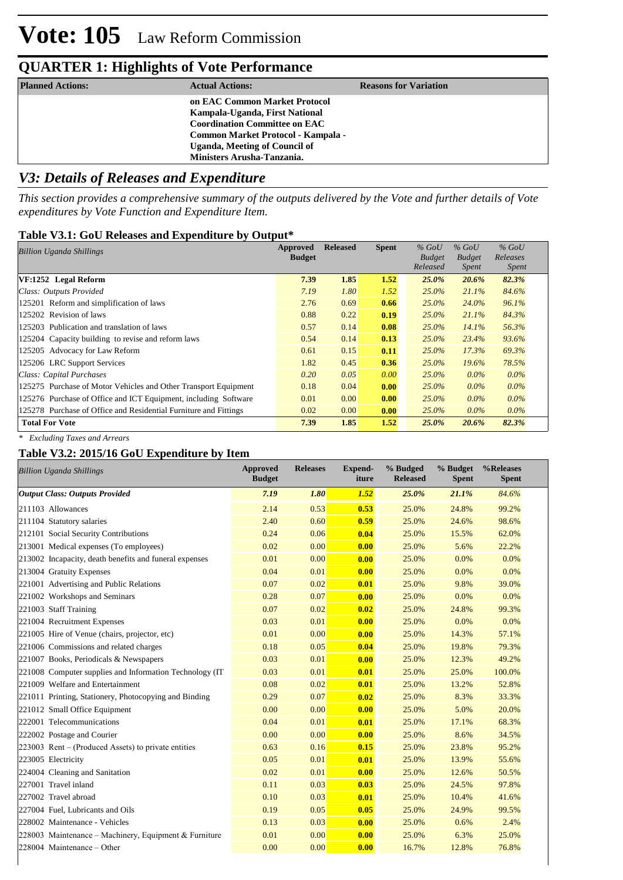| <b>Planned Actions:</b> | <b>Actual Actions:</b>                                                 | <b>Reasons for Variation</b> |
|-------------------------|------------------------------------------------------------------------|------------------------------|
|                         | on EAC Common Market Protocol                                          |                              |
|                         | Kampala-Uganda, First National<br><b>Coordination Committee on EAC</b> |                              |
|                         | Common Market Protocol - Kampala -                                     |                              |
|                         | <b>Uganda, Meeting of Council of</b>                                   |                              |
|                         | Ministers Arusha-Tanzania.                                             |                              |

### *V3: Details of Releases and Expenditure*

*This section provides a comprehensive summary of the outputs delivered by the Vote and further details of Vote expenditures by Vote Function and Expenditure Item.*

### **Table V3.1: GoU Releases and Expenditure by Output\***

| <b>Billion Uganda Shillings</b>                                  | Approved      | <b>Released</b> | <b>Spent</b> | $%$ GoU       | $%$ GoU       | $%$ GoU      |  |
|------------------------------------------------------------------|---------------|-----------------|--------------|---------------|---------------|--------------|--|
|                                                                  | <b>Budget</b> |                 |              | <b>Budget</b> | <b>Budget</b> | Releases     |  |
|                                                                  |               |                 |              | Released      | Spent         | <i>Spent</i> |  |
| VF:1252 Legal Reform                                             | 7.39          | 1.85            | 1.52         | 25.0%         | 20.6%         | 82.3%        |  |
| Class: Outputs Provided                                          | 7.19          | 1.80            | 1.52         | $25.0\%$      | 21.1%         | 84.6%        |  |
| 125201 Reform and simplification of laws                         | 2.76          | 0.69            | 0.66         | $25.0\%$      | 24.0%         | 96.1%        |  |
| 125202 Revision of laws                                          | 0.88          | 0.22            | 0.19         | $25.0\%$      | 21.1%         | 84.3%        |  |
| 125203 Publication and translation of laws                       | 0.57          | 0.14            | 0.08         | 25.0%         | 14.1%         | 56.3%        |  |
| 125204 Capacity building to revise and reform laws               | 0.54          | 0.14            | 0.13         | $25.0\%$      | 23.4%         | 93.6%        |  |
| 125205 Advocacy for Law Reform                                   | 0.61          | 0.15            | 0.11         | $25.0\%$      | 17.3%         | 69.3%        |  |
| 125206 LRC Support Services                                      | 1.82          | 0.45            | 0.36         | 25.0%         | $19.6\%$      | 78.5%        |  |
| Class: Capital Purchases                                         | 0.20          | 0.05            | 0.00         | 25.0%         | $0.0\%$       | $0.0\%$      |  |
| 125275 Purchase of Motor Vehicles and Other Transport Equipment  | 0.18          | 0.04            | 0.00         | 25.0%         | $0.0\%$       | $0.0\%$      |  |
| 125276 Purchase of Office and ICT Equipment, including Software  | 0.01          | 0.00            | 0.00         | $25.0\%$      | $0.0\%$       | $0.0\%$      |  |
| 125278 Purchase of Office and Residential Furniture and Fittings | 0.02          | 0.00            | 0.00         | $25.0\%$      | $0.0\%$       | $0.0\%$      |  |
| <b>Total For Vote</b>                                            | 7.39          | 1.85            | 1.52         | 25.0%         | 20.6%         | 82.3%        |  |

### **Table V3.2: 2015/16 GoU Expenditure by Item** *\* Excluding Taxes and Arrears*

| <b>Billion Uganda Shillings</b>                          | <b>Approved</b><br><b>Budget</b> | <b>Releases</b> | <b>Expend-</b><br>iture | % Budged<br><b>Released</b> | % Budget<br><b>Spent</b> | %Releases<br><b>Spent</b> |
|----------------------------------------------------------|----------------------------------|-----------------|-------------------------|-----------------------------|--------------------------|---------------------------|
| <b>Output Class: Outputs Provided</b>                    | 7.19                             | 1.80            | 1.52                    | 25.0%                       | 21.1%                    | 84.6%                     |
| 211103 Allowances                                        | 2.14                             | 0.53            | 0.53                    | 25.0%                       | 24.8%                    | 99.2%                     |
| 211104 Statutory salaries                                | 2.40                             | 0.60            | 0.59                    | 25.0%                       | 24.6%                    | 98.6%                     |
| 212101 Social Security Contributions                     | 0.24                             | 0.06            | 0.04                    | 25.0%                       | 15.5%                    | 62.0%                     |
| 213001 Medical expenses (To employees)                   | 0.02                             | 0.00            | 0.00                    | 25.0%                       | 5.6%                     | 22.2%                     |
| 213002 Incapacity, death benefits and funeral expenses   | 0.01                             | 0.00            | 0.00                    | 25.0%                       | 0.0%                     | 0.0%                      |
| 213004 Gratuity Expenses                                 | 0.04                             | 0.01            | 0.00                    | 25.0%                       | 0.0%                     | 0.0%                      |
| 221001 Advertising and Public Relations                  | 0.07                             | 0.02            | 0.01                    | 25.0%                       | 9.8%                     | 39.0%                     |
| 221002 Workshops and Seminars                            | 0.28                             | 0.07            | 0.00                    | 25.0%                       | 0.0%                     | 0.0%                      |
| 221003 Staff Training                                    | 0.07                             | 0.02            | 0.02                    | 25.0%                       | 24.8%                    | 99.3%                     |
| 221004 Recruitment Expenses                              | 0.03                             | 0.01            | 0.00                    | 25.0%                       | 0.0%                     | 0.0%                      |
| 221005 Hire of Venue (chairs, projector, etc)            | 0.01                             | 0.00            | 0.00                    | 25.0%                       | 14.3%                    | 57.1%                     |
| 221006 Commissions and related charges                   | 0.18                             | 0.05            | 0.04                    | 25.0%                       | 19.8%                    | 79.3%                     |
| 221007 Books, Periodicals & Newspapers                   | 0.03                             | 0.01            | 0.00                    | 25.0%                       | 12.3%                    | 49.2%                     |
| 221008 Computer supplies and Information Technology (IT) | 0.03                             | 0.01            | 0.01                    | 25.0%                       | 25.0%                    | 100.0%                    |
| 221009 Welfare and Entertainment                         | 0.08                             | 0.02            | 0.01                    | 25.0%                       | 13.2%                    | 52.8%                     |
| 221011 Printing, Stationery, Photocopying and Binding    | 0.29                             | 0.07            | 0.02                    | 25.0%                       | 8.3%                     | 33.3%                     |
| 221012 Small Office Equipment                            | 0.00                             | 0.00            | 0.00                    | 25.0%                       | 5.0%                     | 20.0%                     |
| 222001 Telecommunications                                | 0.04                             | 0.01            | 0.01                    | 25.0%                       | 17.1%                    | 68.3%                     |
| 222002 Postage and Courier                               | 0.00                             | 0.00            | 0.00                    | 25.0%                       | 8.6%                     | 34.5%                     |
| $223003$ Rent – (Produced Assets) to private entities    | 0.63                             | 0.16            | 0.15                    | 25.0%                       | 23.8%                    | 95.2%                     |
| 223005 Electricity                                       | 0.05                             | 0.01            | 0.01                    | 25.0%                       | 13.9%                    | 55.6%                     |
| 224004 Cleaning and Sanitation                           | 0.02                             | 0.01            | 0.00                    | 25.0%                       | 12.6%                    | 50.5%                     |
| 227001 Travel inland                                     | 0.11                             | 0.03            | 0.03                    | 25.0%                       | 24.5%                    | 97.8%                     |
| 227002 Travel abroad                                     | 0.10                             | 0.03            | 0.01                    | 25.0%                       | 10.4%                    | 41.6%                     |
| 227004 Fuel, Lubricants and Oils                         | 0.19                             | 0.05            | 0.05                    | 25.0%                       | 24.9%                    | 99.5%                     |
| 228002 Maintenance - Vehicles                            | 0.13                             | 0.03            | 0.00                    | 25.0%                       | 0.6%                     | 2.4%                      |
| 228003 Maintenance – Machinery, Equipment & Furniture    | 0.01                             | 0.00            | 0.00                    | 25.0%                       | 6.3%                     | 25.0%                     |
| $228004$ Maintenance – Other                             | 0.00                             | 0.00            | 0.00                    | 16.7%                       | 12.8%                    | 76.8%                     |